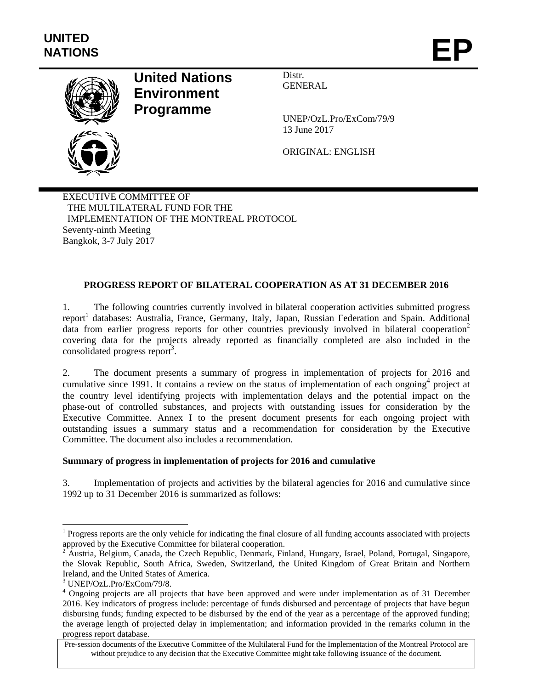

# **United Nations Environment Programme**

Distr. GENERAL

UNEP/OzL.Pro/ExCom/79/9 13 June 2017

ORIGINAL: ENGLISH

EXECUTIVE COMMITTEE OF THE MULTILATERAL FUND FOR THE IMPLEMENTATION OF THE MONTREAL PROTOCOL Seventy-ninth Meeting Bangkok, 3-7 July 2017

# **PROGRESS REPORT OF BILATERAL COOPERATION AS AT 31 DECEMBER 2016**

1. The following countries currently involved in bilateral cooperation activities submitted progress report<sup>1</sup> databases: Australia, France, Germany, Italy, Japan, Russian Federation and Spain. Additional data from earlier progress reports for other countries previously involved in bilateral cooperation<sup>2</sup> covering data for the projects already reported as financially completed are also included in the consolidated progress report<sup>3</sup>.

2. The document presents a summary of progress in implementation of projects for 2016 and cumulative since 1991. It contains a review on the status of implementation of each ongoing<sup>4</sup> project at the country level identifying projects with implementation delays and the potential impact on the phase-out of controlled substances, and projects with outstanding issues for consideration by the Executive Committee. Annex I to the present document presents for each ongoing project with outstanding issues a summary status and a recommendation for consideration by the Executive Committee. The document also includes a recommendation.

# **Summary of progress in implementation of projects for 2016 and cumulative**

3. Implementation of projects and activities by the bilateral agencies for 2016 and cumulative since 1992 up to 31 December 2016 is summarized as follows:

l

<sup>&</sup>lt;sup>1</sup> Progress reports are the only vehicle for indicating the final closure of all funding accounts associated with projects approved by the Executive Committee for bilateral cooperation.

<sup>&</sup>lt;sup>2</sup> Austria, Belgium, Canada, the Czech Republic, Denmark, Finland, Hungary, Israel, Poland, Portugal, Singapore, the Slovak Republic, South Africa, Sweden, Switzerland, the United Kingdom of Great Britain and Northern Ireland, and the United States of America.

<sup>3</sup> UNEP/OzL.Pro/ExCom/79/8.

<sup>&</sup>lt;sup>4</sup> Ongoing projects are all projects that have been approved and were under implementation as of 31 December 2016. Key indicators of progress include: percentage of funds disbursed and percentage of projects that have begun disbursing funds; funding expected to be disbursed by the end of the year as a percentage of the approved funding; the average length of projected delay in implementation; and information provided in the remarks column in the progress report database.

Pre-session documents of the Executive Committee of the Multilateral Fund for the Implementation of the Montreal Protocol are without prejudice to any decision that the Executive Committee might take following issuance of the document.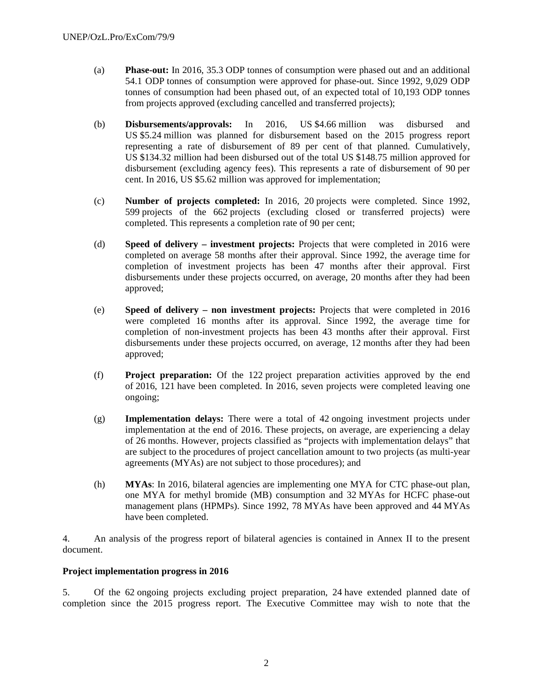- (a) **Phase-out:** In 2016, 35.3 ODP tonnes of consumption were phased out and an additional 54.1 ODP tonnes of consumption were approved for phase-out. Since 1992, 9,029 ODP tonnes of consumption had been phased out, of an expected total of 10,193 ODP tonnes from projects approved (excluding cancelled and transferred projects);
- (b) **Disbursements/approvals:** In 2016, US \$4.66 million was disbursed and US \$5.24 million was planned for disbursement based on the 2015 progress report representing a rate of disbursement of 89 per cent of that planned. Cumulatively, US \$134.32 million had been disbursed out of the total US \$148.75 million approved for disbursement (excluding agency fees). This represents a rate of disbursement of 90 per cent. In 2016, US \$5.62 million was approved for implementation;
- (c) **Number of projects completed:** In 2016, 20 projects were completed. Since 1992, 599 projects of the 662 projects (excluding closed or transferred projects) were completed. This represents a completion rate of 90 per cent;
- (d) **Speed of delivery investment projects:** Projects that were completed in 2016 were completed on average 58 months after their approval. Since 1992, the average time for completion of investment projects has been 47 months after their approval. First disbursements under these projects occurred, on average, 20 months after they had been approved;
- (e) **Speed of delivery non investment projects:** Projects that were completed in 2016 were completed 16 months after its approval. Since 1992, the average time for completion of non-investment projects has been 43 months after their approval. First disbursements under these projects occurred, on average, 12 months after they had been approved;
- (f) **Project preparation:** Of the 122 project preparation activities approved by the end of 2016, 121 have been completed. In 2016, seven projects were completed leaving one ongoing;
- (g) **Implementation delays:** There were a total of 42 ongoing investment projects under implementation at the end of 2016. These projects, on average, are experiencing a delay of 26 months. However, projects classified as "projects with implementation delays" that are subject to the procedures of project cancellation amount to two projects (as multi-year agreements (MYAs) are not subject to those procedures); and
- (h) **MYAs**: In 2016, bilateral agencies are implementing one MYA for CTC phase-out plan, one MYA for methyl bromide (MB) consumption and 32 MYAs for HCFC phase-out management plans (HPMPs). Since 1992, 78 MYAs have been approved and 44 MYAs have been completed.

4. An analysis of the progress report of bilateral agencies is contained in Annex II to the present document.

## **Project implementation progress in 2016**

5. Of the 62 ongoing projects excluding project preparation, 24 have extended planned date of completion since the 2015 progress report. The Executive Committee may wish to note that the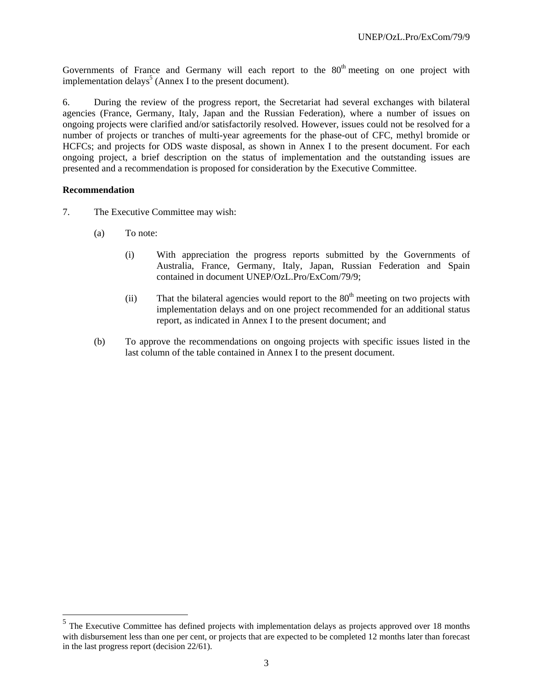Governments of France and Germany will each report to the  $80<sup>th</sup>$  meeting on one project with implementation delays<sup>5</sup> (Annex I to the present document).

6. During the review of the progress report, the Secretariat had several exchanges with bilateral agencies (France, Germany, Italy, Japan and the Russian Federation), where a number of issues on ongoing projects were clarified and/or satisfactorily resolved. However, issues could not be resolved for a number of projects or tranches of multi-year agreements for the phase-out of CFC, methyl bromide or HCFCs; and projects for ODS waste disposal, as shown in Annex I to the present document. For each ongoing project, a brief description on the status of implementation and the outstanding issues are presented and a recommendation is proposed for consideration by the Executive Committee.

#### **Recommendation**

l

- 7. The Executive Committee may wish:
	- (a) To note:
		- (i) With appreciation the progress reports submitted by the Governments of Australia, France, Germany, Italy, Japan, Russian Federation and Spain contained in document UNEP/OzL.Pro/ExCom/79/9;
		- (ii) That the bilateral agencies would report to the  $80<sup>th</sup>$  meeting on two projects with implementation delays and on one project recommended for an additional status report, as indicated in Annex I to the present document; and
	- (b) To approve the recommendations on ongoing projects with specific issues listed in the last column of the table contained in Annex I to the present document.

<sup>&</sup>lt;sup>5</sup> The Executive Committee has defined projects with implementation delays as projects approved over 18 months with disbursement less than one per cent, or projects that are expected to be completed 12 months later than forecast in the last progress report (decision 22/61).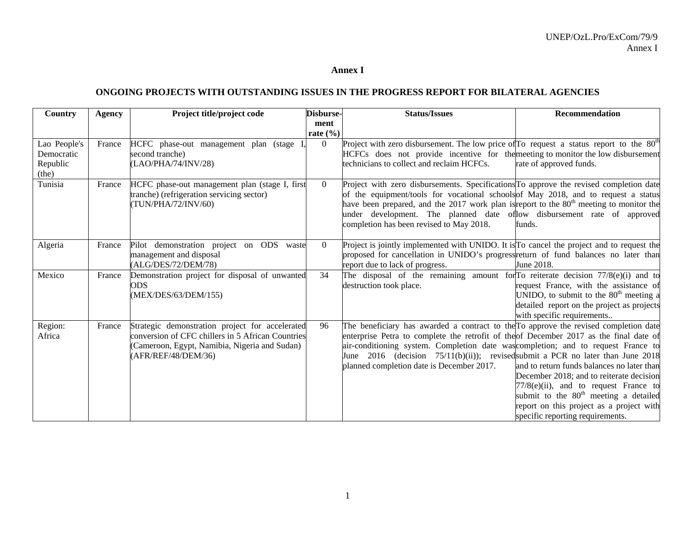#### **Annex I**

### **ONGOING PROJECTS WITH OUTSTANDING ISSUES IN THE PROGRESS REPORT FOR BILATERAL AGENCIES**

| Country      | <b>Agency</b> | Project title/project code                        | Disburse-    | <b>Status/Issues</b>                                                                                                   | Recommendation                             |
|--------------|---------------|---------------------------------------------------|--------------|------------------------------------------------------------------------------------------------------------------------|--------------------------------------------|
|              |               |                                                   | ment         |                                                                                                                        |                                            |
|              |               |                                                   | rate $(\% )$ |                                                                                                                        |                                            |
| Lao People's | France        | HCFC phase-out management plan (stage)            | $\Omega$     | Project with zero disbursement. The low price of $\Gamma$ o request a status report to the 80 <sup>th</sup>            |                                            |
| Democratic   |               | second tranche)                                   |              | HCFCs does not provide incentive for the meeting to monitor the low disbursement                                       |                                            |
| Republic     |               | (LAO/PHA/74/INV/28)                               |              | technicians to collect and reclaim HCFCs.                                                                              | rate of approved funds.                    |
| (the)        |               |                                                   |              |                                                                                                                        |                                            |
| Tunisia      | France        | HCFC phase-out management plan (stage I, first    | $\theta$     | Project with zero disbursements. Specifications To approve the revised completion date                                 |                                            |
|              |               | tranche) (refrigeration servicing sector)         |              | of the equipment/tools for vocational schools of May 2018, and to request a status                                     |                                            |
|              |               | (TUN/PHA/72/INV/60)                               |              | have been prepared, and the 2017 work plan is report to the 80 <sup>th</sup> meeting to monitor the                    |                                            |
|              |               |                                                   |              | under development. The planned date of low disbursement rate of approved                                               |                                            |
|              |               |                                                   |              | completion has been revised to May 2018.                                                                               | funds.                                     |
|              |               |                                                   | $\theta$     |                                                                                                                        |                                            |
| Algeria      | France        | Pilot demonstration project on ODS waste          |              | Project is jointly implemented with UNIDO. It is To cancel the project and to request the                              |                                            |
|              |               | management and disposal<br>(ALG/DES/72/DEM/78)    |              | proposed for cancellation in UNIDO's progress return of fund balances no later than<br>report due to lack of progress. | June 2018.                                 |
| Mexico       | France        | Demonstration project for disposal of unwanted    | 34           | The disposal of the remaining amount for To reiterate decision $77/8$ (e)(i) and to                                    |                                            |
|              |               | ODS                                               |              | destruction took place.                                                                                                | request France, with the assistance of     |
|              |               | (MEX/DES/63/DEM/155)                              |              |                                                                                                                        | UNIDO, to submit to the $80th$ meeting a   |
|              |               |                                                   |              |                                                                                                                        | detailed report on the project as projects |
|              |               |                                                   |              |                                                                                                                        | with specific requirements                 |
| Region:      | France        | Strategic demonstration project for accelerated   | 96           | The beneficiary has awarded a contract to the To approve the revised completion date                                   |                                            |
| Africa       |               | conversion of CFC chillers in 5 African Countries |              | enterprise Petra to complete the retrofit of the of December 2017 as the final date of                                 |                                            |
|              |               | (Cameroon, Egypt, Namibia, Nigeria and Sudan)     |              | air-conditioning system. Completion date was completion; and to request France to                                      |                                            |
|              |               | (AFR/REF/48/DEM/36)                               |              | June 2016 (decision 75/11(b)(ii)); revised submit a PCR no later than June 2018                                        |                                            |
|              |               |                                                   |              | planned completion date is December 2017.                                                                              | and to return funds balances no later than |
|              |               |                                                   |              |                                                                                                                        | December 2018; and to reiterate decision   |
|              |               |                                                   |              |                                                                                                                        | $77/8$ (e)(ii), and to request France to   |
|              |               |                                                   |              |                                                                                                                        | submit to the $80th$ meeting a detailed    |
|              |               |                                                   |              |                                                                                                                        | report on this project as a project with   |
|              |               |                                                   |              |                                                                                                                        | specific reporting requirements.           |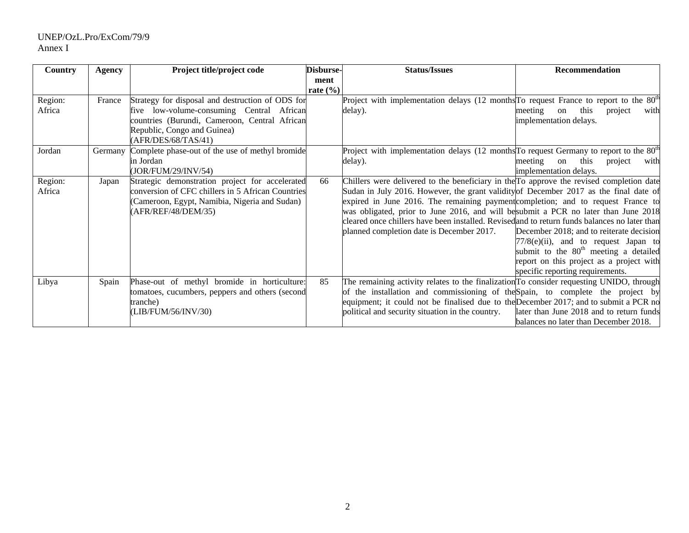## UNEP/OzL.Pro/ExCom/79/9 Annex I

| <b>Country</b> | <b>Agency</b> | Project title/project code                        | Disburse-    | <b>Status/Issues</b>                                                                                | Recommendation                                    |
|----------------|---------------|---------------------------------------------------|--------------|-----------------------------------------------------------------------------------------------------|---------------------------------------------------|
|                |               |                                                   | ment         |                                                                                                     |                                                   |
|                |               |                                                   | rate $(\% )$ |                                                                                                     |                                                   |
| Region:        | France        | Strategy for disposal and destruction of ODS for  |              | Project with implementation delays (12 months <sup>To</sup> request France to report to the $80th$  |                                                   |
| Africa         |               | five low-volume-consuming Central African         |              | delay).                                                                                             | meeting<br>this<br>project<br>with<br>on          |
|                |               | countries (Burundi, Cameroon, Central African     |              |                                                                                                     | implementation delays.                            |
|                |               | Republic, Congo and Guinea)                       |              |                                                                                                     |                                                   |
|                |               | (AFR/DES/68/TAS/41)                               |              |                                                                                                     |                                                   |
| Jordan         | Germany       | Complete phase-out of the use of methyl bromide   |              | Project with implementation delays (12 months <sup>To</sup> request Germany to report to the $80th$ |                                                   |
|                |               | in Jordan                                         |              | delay).                                                                                             | meeting<br>this<br>project<br>on<br>with          |
|                |               | (JOR/FUM/29/INV/54)                               |              |                                                                                                     | implementation delays.                            |
| Region:        | Japan         | Strategic demonstration project for accelerated   | 66           | Chillers were delivered to the beneficiary in the To approve the revised completion date            |                                                   |
| Africa         |               | conversion of CFC chillers in 5 African Countries |              | Sudan in July 2016. However, the grant validity of December 2017 as the final date of               |                                                   |
|                |               | (Cameroon, Egypt, Namibia, Nigeria and Sudan)     |              | expired in June 2016. The remaining payment completion; and to request France to                    |                                                   |
|                |               | (AFR/REF/48/DEM/35)                               |              | was obligated, prior to June 2016, and will be submit a PCR no later than June 2018                 |                                                   |
|                |               |                                                   |              | cleared once chillers have been installed. Revised and to return funds balances no later than       |                                                   |
|                |               |                                                   |              | planned completion date is December 2017.                                                           | December 2018; and to reiterate decision          |
|                |               |                                                   |              |                                                                                                     | $77/8(e)(ii)$ , and to request Japan to           |
|                |               |                                                   |              |                                                                                                     | submit to the 80 <sup>th</sup> meeting a detailed |
|                |               |                                                   |              |                                                                                                     | report on this project as a project with          |
|                |               |                                                   |              |                                                                                                     | specific reporting requirements.                  |
| Libya          | Spain         | Phase-out of methyl bromide in horticulture:      | 85           | The remaining activity relates to the finalization To consider requesting UNIDO, through            |                                                   |
|                |               | tomatoes, cucumbers, peppers and others (second   |              | of the installation and commissioning of the Spain, to complete the project by                      |                                                   |
|                |               | tranche)                                          |              | equipment; it could not be finalised due to the December 2017; and to submit a PCR no               |                                                   |
|                |               | (LIB/FUM/56/INV/30)                               |              | political and security situation in the country.                                                    | later than June 2018 and to return funds          |
|                |               |                                                   |              |                                                                                                     | balances no later than December 2018.             |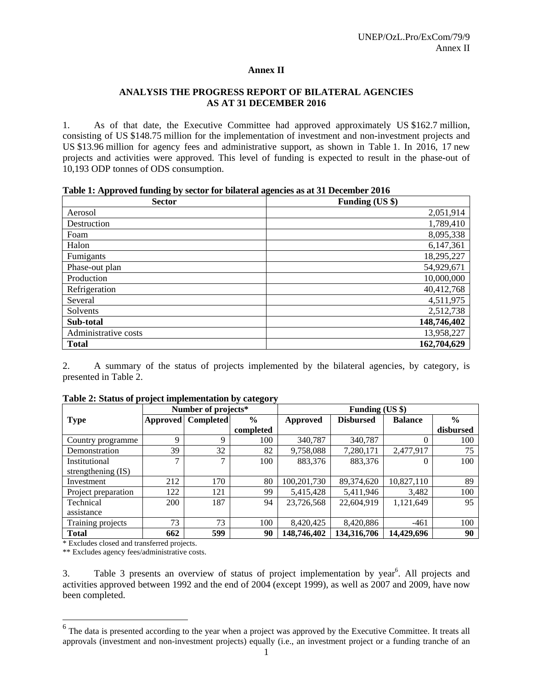## **Annex II**

## **ANALYSIS THE PROGRESS REPORT OF BILATERAL AGENCIES AS AT 31 DECEMBER 2016**

1. As of that date, the Executive Committee had approved approximately US \$162.7 million, consisting of US \$148.75 million for the implementation of investment and non-investment projects and US \$13.96 million for agency fees and administrative support, as shown in Table 1. In 2016, 17 new projects and activities were approved. This level of funding is expected to result in the phase-out of 10,193 ODP tonnes of ODS consumption.

|  |  |  | Table 1: Approved funding by sector for bilateral agencies as at 31 December 2016 |
|--|--|--|-----------------------------------------------------------------------------------|
|  |  |  |                                                                                   |

| <b>Sector</b>        | Funding (US \$) |
|----------------------|-----------------|
| Aerosol              | 2,051,914       |
| Destruction          | 1,789,410       |
| Foam                 | 8,095,338       |
| Halon                | 6,147,361       |
| Fumigants            | 18,295,227      |
| Phase-out plan       | 54,929,671      |
| Production           | 10,000,000      |
| Refrigeration        | 40,412,768      |
| Several              | 4,511,975       |
| Solvents             | 2,512,738       |
| Sub-total            | 148,746,402     |
| Administrative costs | 13,958,227      |
| <b>Total</b>         | 162,704,629     |

2. A summary of the status of projects implemented by the bilateral agencies, by category, is presented in Table 2.

|                     |          | Number of projects* |               | Funding (US \$) |                  |                |               |
|---------------------|----------|---------------------|---------------|-----------------|------------------|----------------|---------------|
| <b>Type</b>         | Approved | <b>Completed</b>    | $\frac{0}{0}$ | Approved        | <b>Disbursed</b> | <b>Balance</b> | $\frac{0}{0}$ |
|                     |          |                     | completed     |                 |                  |                | disbursed     |
| Country programme   | 9        | 9                   | 100           | 340,787         | 340,787          |                | 100           |
| Demonstration       | 39       | 32                  | 82            | 9,758,088       | 7,280,171        | 2,477,917      | 75            |
| Institutional       | 7        | $\mathcal{L}$       | 100           | 883,376         | 883,376          |                | 100           |
| strengthening (IS)  |          |                     |               |                 |                  |                |               |
| Investment          | 212      | 170                 | 80            | 100,201,730     | 89,374,620       | 10,827,110     | 89            |
| Project preparation | 122      | 121                 | 99            | 5,415,428       | 5,411,946        | 3,482          | 100           |
| Technical           | 200      | 187                 | 94            | 23,726,568      | 22,604,919       | 1,121,649      | 95            |
| assistance          |          |                     |               |                 |                  |                |               |
| Training projects   | 73       | 73                  | 100           | 8,420,425       | 8,420,886        | $-461$         | 100           |
| <b>Total</b>        | 662      | 599                 | 90            | 148,746,402     | 134,316,706      | 14,429,696     | 90            |

| Table 2: Status of project implementation by category |  |  |  |  |  |
|-------------------------------------------------------|--|--|--|--|--|
|-------------------------------------------------------|--|--|--|--|--|

\* Excludes closed and transferred projects.

\*\* Excludes agency fees/administrative costs.

3. Table 3 presents an overview of status of project implementation by year<sup>6</sup>. All projects and activities approved between 1992 and the end of 2004 (except 1999), as well as 2007 and 2009, have now been completed.

<sup>&</sup>lt;sup>6</sup> The data is presented according to the year when a project was approved by the Executive Committee. It treats all approvals (investment and non-investment projects) equally (i.e., an investment project or a funding tranche of an